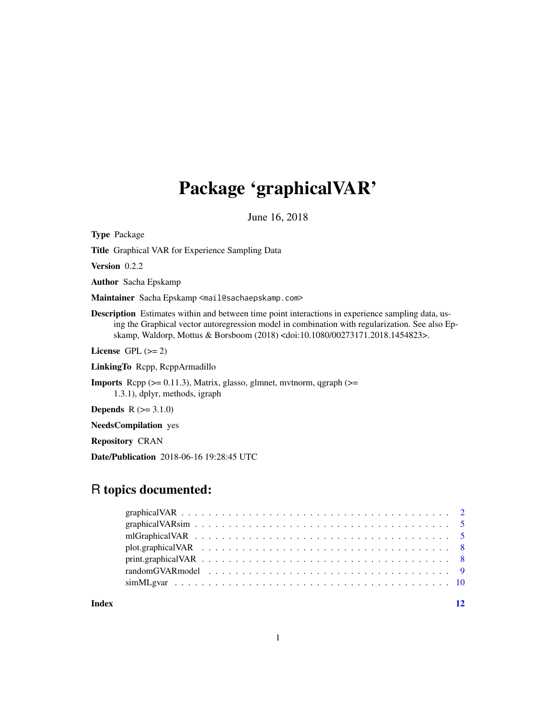# Package 'graphicalVAR'

June 16, 2018

<span id="page-0-0"></span>Type Package

Title Graphical VAR for Experience Sampling Data

Version 0.2.2

Author Sacha Epskamp

Maintainer Sacha Epskamp <mail@sachaepskamp.com>

Description Estimates within and between time point interactions in experience sampling data, using the Graphical vector autoregression model in combination with regularization. See also Epskamp, Waldorp, Mottus & Borsboom (2018) <doi:10.1080/00273171.2018.1454823>.

License GPL  $(>= 2)$ 

LinkingTo Rcpp, RcppArmadillo

**Imports** Rcpp  $(>= 0.11.3)$ , Matrix, glasso, glmnet, mythorm, qgraph  $(>= 1.11.3)$ 1.3.1), dplyr, methods, igraph

**Depends**  $R (= 3.1.0)$ 

NeedsCompilation yes

Repository CRAN

Date/Publication 2018-06-16 19:28:45 UTC

# R topics documented:

| Index |  |
|-------|--|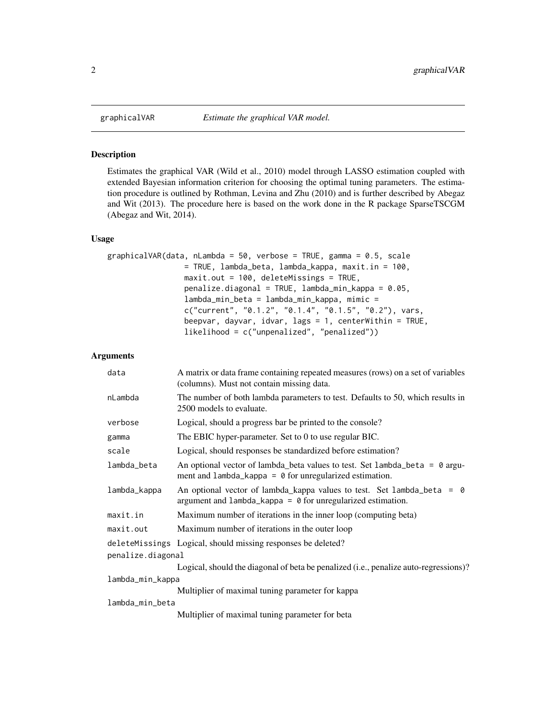<span id="page-1-1"></span><span id="page-1-0"></span>

#### Description

Estimates the graphical VAR (Wild et al., 2010) model through LASSO estimation coupled with extended Bayesian information criterion for choosing the optimal tuning parameters. The estimation procedure is outlined by Rothman, Levina and Zhu (2010) and is further described by Abegaz and Wit (2013). The procedure here is based on the work done in the R package SparseTSCGM (Abegaz and Wit, 2014).

#### Usage

```
graphicalVAR(data, nLambda = 50, verbose = TRUE, gamma = 0.5, scale
                 = TRUE, lambda_beta, lambda_kappa, maxit.in = 100,
                 maxit.out = 100, deleteMissings = TRUE,
                 penalize.diagonal = TRUE, lambda_min_kappa = 0.05,
                 lambda_min_beta = lambda_min_kappa, mimic =
                 c("current", "0.1.2", "0.1.4", "0.1.5", "0.2"), vars,
                 beepvar, dayvar, idvar, lags = 1, centerWithin = TRUE,
                 likelihood = c("unpenalized", "penalized"))
```
#### Arguments

| data              | A matrix or data frame containing repeated measures (rows) on a set of variables<br>(columns). Must not contain missing data.                           |  |
|-------------------|---------------------------------------------------------------------------------------------------------------------------------------------------------|--|
| nLambda           | The number of both lambda parameters to test. Defaults to 50, which results in<br>2500 models to evaluate.                                              |  |
| verbose           | Logical, should a progress bar be printed to the console?                                                                                               |  |
| gamma             | The EBIC hyper-parameter. Set to 0 to use regular BIC.                                                                                                  |  |
| scale             | Logical, should responses be standardized before estimation?                                                                                            |  |
| lambda_beta       | An optional vector of lambda_beta values to test. Set lambda_beta = $\theta$ argu-<br>ment and $l$ ambda_kappa = $\theta$ for unregularized estimation. |  |
| lambda_kappa      | An optional vector of lambda_kappa values to test. Set lambda_beta = $\theta$<br>argument and $l$ ambda_kappa = $\theta$ for unregularized estimation.  |  |
| maxit.in          | Maximum number of iterations in the inner loop (computing beta)                                                                                         |  |
| maxit.out         | Maximum number of iterations in the outer loop                                                                                                          |  |
|                   | deleteMissings Logical, should missing responses be deleted?                                                                                            |  |
| penalize.diagonal |                                                                                                                                                         |  |
|                   | Logical, should the diagonal of beta be penalized (i.e., penalize auto-regressions)?                                                                    |  |
| lambda_min_kappa  |                                                                                                                                                         |  |
|                   | Multiplier of maximal tuning parameter for kappa                                                                                                        |  |
| lambda_min_beta   |                                                                                                                                                         |  |
|                   | Multiplier of maximal tuning parameter for beta                                                                                                         |  |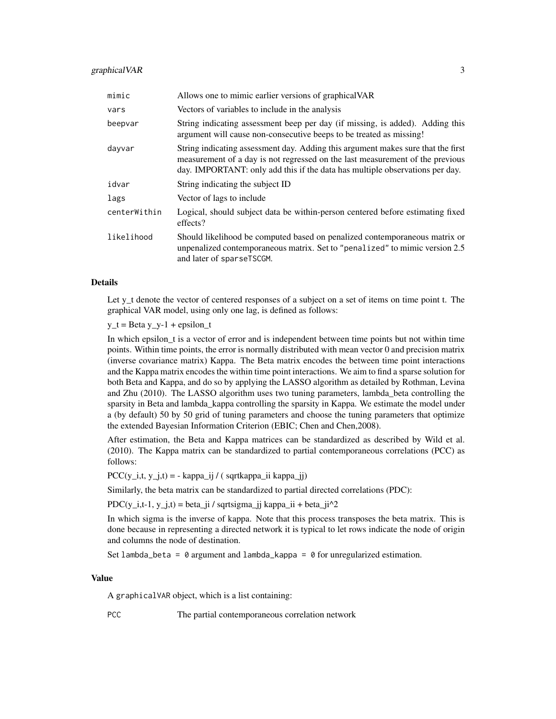#### graphicalVAR 3

| mimic        | Allows one to mimic earlier versions of graphical VAR                                                                                                                                                                                             |
|--------------|---------------------------------------------------------------------------------------------------------------------------------------------------------------------------------------------------------------------------------------------------|
| vars         | Vectors of variables to include in the analysis                                                                                                                                                                                                   |
| beepvar      | String indicating assessment beep per day (if missing, is added). Adding this<br>argument will cause non-consecutive beeps to be treated as missing!                                                                                              |
| dayvar       | String indicating assessment day. Adding this argument makes sure that the first<br>measurement of a day is not regressed on the last measurement of the previous<br>day. IMPORTANT: only add this if the data has multiple observations per day. |
| idvar        | String indicating the subject ID                                                                                                                                                                                                                  |
| lags         | Vector of lags to include                                                                                                                                                                                                                         |
| centerWithin | Logical, should subject data be within-person centered before estimating fixed<br>effects?                                                                                                                                                        |
| likelihood   | Should likelihood be computed based on penalized contemporaneous matrix or<br>unpenalized contemporaneous matrix. Set to "penalized" to mimic version 2.5<br>and later of sparseTSCGM.                                                            |

#### Details

Let y<sub>\_t</sub> denote the vector of centered responses of a subject on a set of items on time point t. The graphical VAR model, using only one lag, is defined as follows:

 $y_t = Beta y_y - 1 + epsilon_t$ 

In which epsilon\_t is a vector of error and is independent between time points but not within time points. Within time points, the error is normally distributed with mean vector 0 and precision matrix (inverse covariance matrix) Kappa. The Beta matrix encodes the between time point interactions and the Kappa matrix encodes the within time point interactions. We aim to find a sparse solution for both Beta and Kappa, and do so by applying the LASSO algorithm as detailed by Rothman, Levina and Zhu (2010). The LASSO algorithm uses two tuning parameters, lambda\_beta controlling the sparsity in Beta and lambda\_kappa controlling the sparsity in Kappa. We estimate the model under a (by default) 50 by 50 grid of tuning parameters and choose the tuning parameters that optimize the extended Bayesian Information Criterion (EBIC; Chen and Chen,2008).

After estimation, the Beta and Kappa matrices can be standardized as described by Wild et al. (2010). The Kappa matrix can be standardized to partial contemporaneous correlations (PCC) as follows:

 $PCC(y_i, t, y_j, t) = - \kappa A = i \int_0^t f(\text{sqrt}A) \exp(-\text{i} \hat{A}) d\theta$ 

Similarly, the beta matrix can be standardized to partial directed correlations (PDC):

PDC( $y_i$ ,t-1,  $y_j$ ,t) = beta\_ji / sqrtsigma\_jj kappa\_ii + beta\_ji^2

In which sigma is the inverse of kappa. Note that this process transposes the beta matrix. This is done because in representing a directed network it is typical to let rows indicate the node of origin and columns the node of destination.

Set lambda\_beta =  $\theta$  argument and lambda\_kappa =  $\theta$  for unregularized estimation.

#### Value

A graphicalVAR object, which is a list containing:

PCC The partial contemporaneous correlation network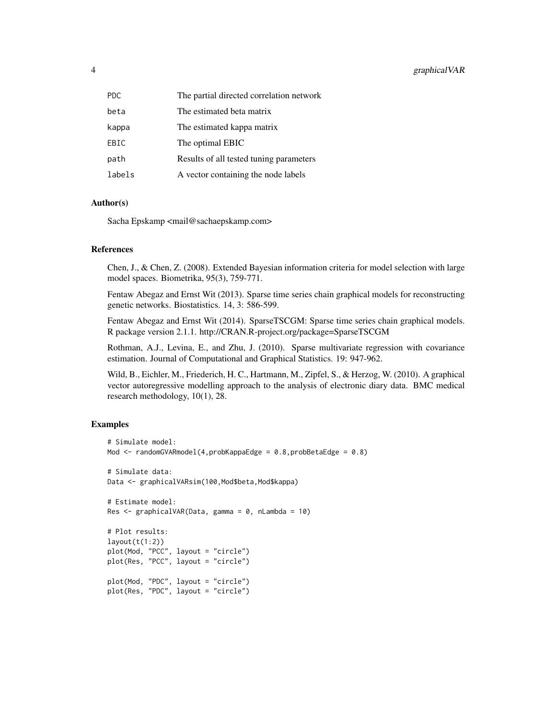| <b>PDC</b> | The partial directed correlation network |
|------------|------------------------------------------|
| beta       | The estimated beta matrix                |
| kappa      | The estimated kappa matrix               |
| EBIC       | The optimal EBIC                         |
| path       | Results of all tested tuning parameters  |
| labels     | A vector containing the node labels      |

#### Author(s)

Sacha Epskamp <mail@sachaepskamp.com>

#### References

Chen, J., & Chen, Z. (2008). Extended Bayesian information criteria for model selection with large model spaces. Biometrika, 95(3), 759-771.

Fentaw Abegaz and Ernst Wit (2013). Sparse time series chain graphical models for reconstructing genetic networks. Biostatistics. 14, 3: 586-599.

Fentaw Abegaz and Ernst Wit (2014). SparseTSCGM: Sparse time series chain graphical models. R package version 2.1.1. http://CRAN.R-project.org/package=SparseTSCGM

Rothman, A.J., Levina, E., and Zhu, J. (2010). Sparse multivariate regression with covariance estimation. Journal of Computational and Graphical Statistics. 19: 947-962.

Wild, B., Eichler, M., Friederich, H. C., Hartmann, M., Zipfel, S., & Herzog, W. (2010). A graphical vector autoregressive modelling approach to the analysis of electronic diary data. BMC medical research methodology, 10(1), 28.

#### Examples

```
# Simulate model:
Mod <- randomGVARmodel(4,probKappaEdge = 0.8,probBetaEdge = 0.8)
# Simulate data:
Data <- graphicalVARsim(100, Mod$beta, Mod$kappa)
# Estimate model:
Res \le- graphicalVAR(Data, gamma = 0, nLambda = 10)
# Plot results:
layout(t(1:2))plot(Mod, "PCC", layout = "circle")
plot(Res, "PCC", layout = "circle")
plot(Mod, "PDC", layout = "circle")
plot(Res, "PDC", layout = "circle")
```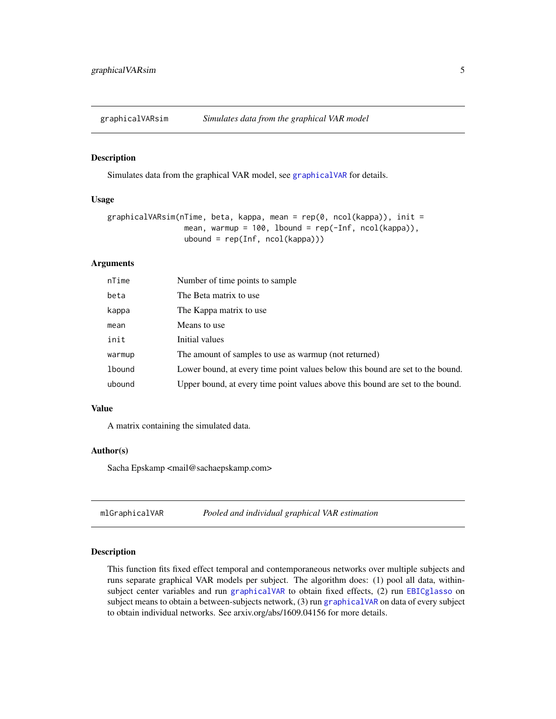<span id="page-4-0"></span>

#### Description

Simulates data from the graphical VAR model, see [graphicalVAR](#page-1-1) for details.

#### Usage

```
graphicalVARsim(nTime, beta, kappa, mean = rep(0, ncol(kappa)), init =
                 mean, warmup = 100, lbound = rep(-Inf, ncol(kappa)),
                 ubound = rep(Inf, ncol(kappa)))
```
#### Arguments

| nTime  | Number of time points to sample                                                |
|--------|--------------------------------------------------------------------------------|
| beta   | The Beta matrix to use.                                                        |
| kappa  | The Kappa matrix to use                                                        |
| mean   | Means to use                                                                   |
| init   | Initial values                                                                 |
| warmup | The amount of samples to use as warmup (not returned)                          |
| lbound | Lower bound, at every time point values below this bound are set to the bound. |
| ubound | Upper bound, at every time point values above this bound are set to the bound. |

#### Value

A matrix containing the simulated data.

#### Author(s)

Sacha Epskamp <mail@sachaepskamp.com>

#### Description

This function fits fixed effect temporal and contemporaneous networks over multiple subjects and runs separate graphical VAR models per subject. The algorithm does: (1) pool all data, withinsubject center variables and run [graphicalVAR](#page-1-1) to obtain fixed effects, (2) run [EBICglasso](#page-0-0) on subject means to obtain a between-subjects network, (3) run [graphicalVAR](#page-1-1) on data of every subject to obtain individual networks. See arxiv.org/abs/1609.04156 for more details.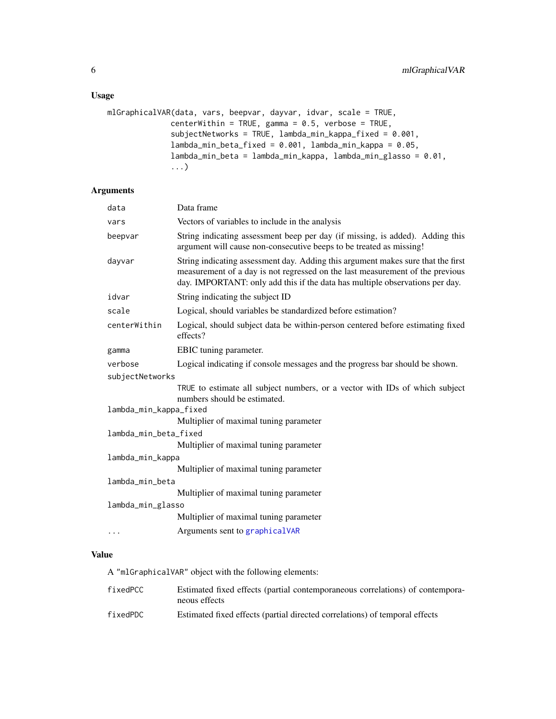#### Usage

```
mlGraphicalVAR(data, vars, beepvar, dayvar, idvar, scale = TRUE,
              centerWithin = TRUE, gamma = 0.5, verbose = TRUE,
              subjectNetworks = TRUE, lambda_min_kappa_fixed = 0.001,
              lambda_min_beta_fixed = 0.001, lambda_min_kappa = 0.05,
              lambda_min_beta = lambda_min_kappa, lambda_min_glasso = 0.01,
              ...)
```
### Arguments

| data                   | Data frame                                                                                                                                                                                                                                        |  |
|------------------------|---------------------------------------------------------------------------------------------------------------------------------------------------------------------------------------------------------------------------------------------------|--|
| vars                   | Vectors of variables to include in the analysis                                                                                                                                                                                                   |  |
| beepvar                | String indicating assessment beep per day (if missing, is added). Adding this<br>argument will cause non-consecutive beeps to be treated as missing!                                                                                              |  |
| dayvar                 | String indicating assessment day. Adding this argument makes sure that the first<br>measurement of a day is not regressed on the last measurement of the previous<br>day. IMPORTANT: only add this if the data has multiple observations per day. |  |
| idvar                  | String indicating the subject ID                                                                                                                                                                                                                  |  |
| scale                  | Logical, should variables be standardized before estimation?                                                                                                                                                                                      |  |
| centerWithin           | Logical, should subject data be within-person centered before estimating fixed<br>effects?                                                                                                                                                        |  |
| gamma                  | EBIC tuning parameter.                                                                                                                                                                                                                            |  |
| verbose                | Logical indicating if console messages and the progress bar should be shown.                                                                                                                                                                      |  |
| subjectNetworks        |                                                                                                                                                                                                                                                   |  |
|                        | TRUE to estimate all subject numbers, or a vector with IDs of which subject<br>numbers should be estimated.                                                                                                                                       |  |
| lambda_min_kappa_fixed |                                                                                                                                                                                                                                                   |  |
|                        | Multiplier of maximal tuning parameter                                                                                                                                                                                                            |  |
| lambda_min_beta_fixed  |                                                                                                                                                                                                                                                   |  |
|                        | Multiplier of maximal tuning parameter                                                                                                                                                                                                            |  |
| lambda_min_kappa       |                                                                                                                                                                                                                                                   |  |
|                        | Multiplier of maximal tuning parameter                                                                                                                                                                                                            |  |
| lambda_min_beta        |                                                                                                                                                                                                                                                   |  |
|                        | Multiplier of maximal tuning parameter                                                                                                                                                                                                            |  |
| lambda_min_glasso      |                                                                                                                                                                                                                                                   |  |
|                        | Multiplier of maximal tuning parameter                                                                                                                                                                                                            |  |
| .                      | Arguments sent to graphicalVAR                                                                                                                                                                                                                    |  |

## Value

A "mlGraphicalVAR" object with the following elements:

| fixedPCC | Estimated fixed effects (partial contemporaneous correlations) of contempora-<br>neous effects |
|----------|------------------------------------------------------------------------------------------------|
| fixedPDC | Estimated fixed effects (partial directed correlations) of temporal effects                    |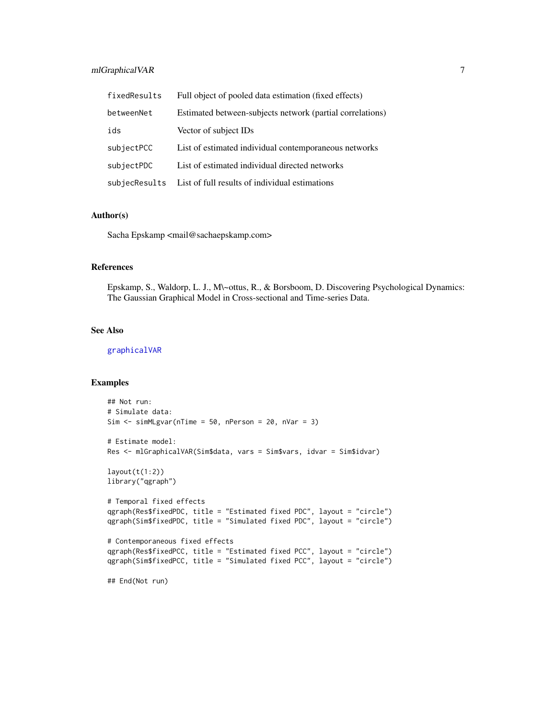#### mlGraphicalVAR 7

| fixedResults  | Full object of pooled data estimation (fixed effects)     |
|---------------|-----------------------------------------------------------|
| betweenNet    | Estimated between-subjects network (partial correlations) |
| ids           | Vector of subject IDs                                     |
| subjectPCC    | List of estimated individual contemporaneous networks     |
| subjectPDC    | List of estimated individual directed networks            |
| subjecResults | List of full results of individual estimations            |

#### Author(s)

Sacha Epskamp <mail@sachaepskamp.com>

#### References

Epskamp, S., Waldorp, L. J., M\~ottus, R., & Borsboom, D. Discovering Psychological Dynamics: The Gaussian Graphical Model in Cross-sectional and Time-series Data.

#### See Also

[graphicalVAR](#page-1-1)

#### Examples

```
## Not run:
# Simulate data:
Sim \le simMLgvar(nTime = 50, nPerson = 20, nVar = 3)
# Estimate model:
Res <- mlGraphicalVAR(Sim$data, vars = Sim$vars, idvar = Sim$idvar)
layout(t(1:2))library("qgraph")
# Temporal fixed effects
qgraph(Res$fixedPDC, title = "Estimated fixed PDC", layout = "circle")
qgraph(Sim$fixedPDC, title = "Simulated fixed PDC", layout = "circle")
# Contemporaneous fixed effects
qgraph(Res$fixedPCC, title = "Estimated fixed PCC", layout = "circle")
qgraph(Sim$fixedPCC, title = "Simulated fixed PCC", layout = "circle")
## End(Not run)
```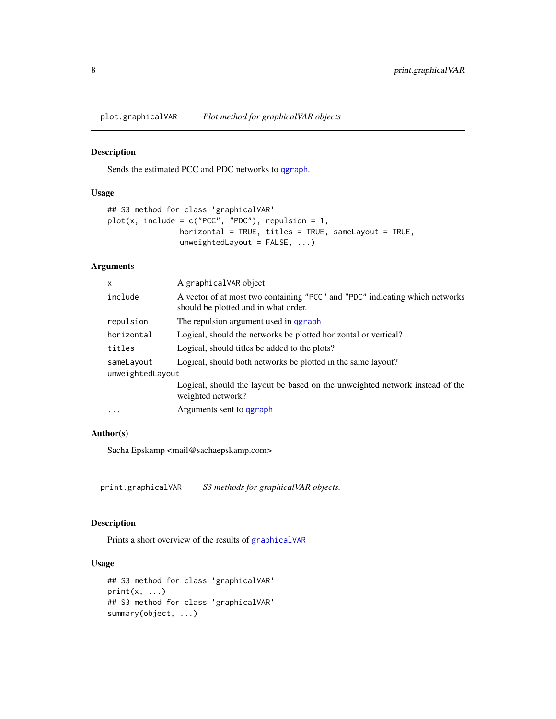<span id="page-7-0"></span>plot.graphicalVAR *Plot method for graphicalVAR objects*

#### Description

Sends the estimated PCC and PDC networks to [qgraph](#page-0-0).

#### Usage

```
## S3 method for class 'graphicalVAR'
plot(x, include = c("PCC", "PDC"), repulsion = 1,
                horizontal = TRUE, titles = TRUE, sameLayout = TRUE,unweightedLayout = FALSE, ...)
```
#### Arguments

| $\mathsf{x}$     | A graphicalVAR object                                                                                                |  |
|------------------|----------------------------------------------------------------------------------------------------------------------|--|
| include          | A vector of at most two containing "PCC" and "PDC" indicating which networks<br>should be plotted and in what order. |  |
| repulsion        | The repulsion argument used in qgraph                                                                                |  |
| horizontal       | Logical, should the networks be plotted horizontal or vertical?                                                      |  |
| titles           | Logical, should titles be added to the plots?                                                                        |  |
| sameLayout       | Logical, should both networks be plotted in the same layout?                                                         |  |
| unweightedLayout |                                                                                                                      |  |
|                  | Logical, should the layout be based on the unweighted network instead of the<br>weighted network?                    |  |
| $\cdot$          | Arguments sent to garaph                                                                                             |  |
|                  |                                                                                                                      |  |

#### Author(s)

Sacha Epskamp <mail@sachaepskamp.com>

print.graphicalVAR *S3 methods for graphicalVAR objects.*

#### Description

Prints a short overview of the results of [graphicalVAR](#page-1-1)

#### Usage

```
## S3 method for class 'graphicalVAR'
print(x, \ldots)## S3 method for class 'graphicalVAR'
summary(object, ...)
```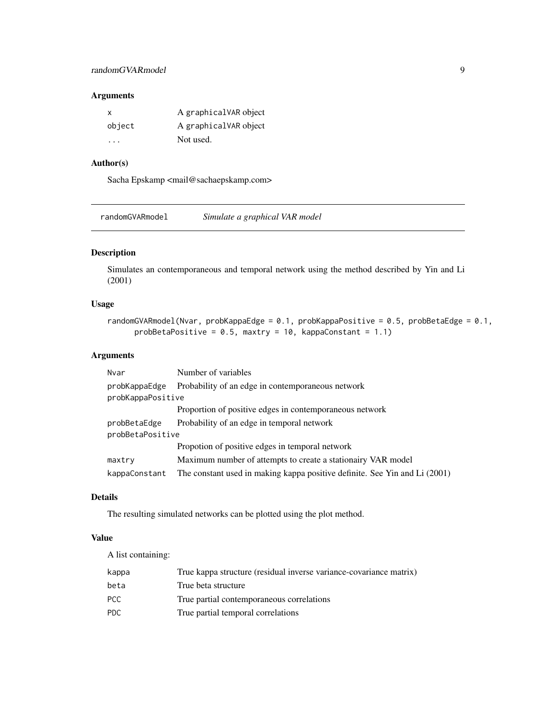### <span id="page-8-0"></span>randomGVARmodel 9

#### Arguments

| х      | A graphicalVAR object |
|--------|-----------------------|
| object | A graphicalVAR object |
| .      | Not used.             |

# Author(s)

Sacha Epskamp <mail@sachaepskamp.com>

randomGVARmodel *Simulate a graphical VAR model*

#### Description

Simulates an contemporaneous and temporal network using the method described by Yin and Li (2001)

#### Usage

```
randomGVARmodel(Nvar, probKappaEdge = 0.1, probKappaPositive = 0.5, probBetaEdge = 0.1,
     probBetaPositive = 0.5, maxtry = 10, kappaConstant = 1.1)
```
#### Arguments

| Nvar              | Number of variables                                                        |  |
|-------------------|----------------------------------------------------------------------------|--|
| probKappaEdge     | Probability of an edge in contemporaneous network                          |  |
| probKappaPositive |                                                                            |  |
|                   | Proportion of positive edges in contemporaneous network                    |  |
| probBetaEdge      | Probability of an edge in temporal network                                 |  |
| probBetaPositive  |                                                                            |  |
|                   | Propotion of positive edges in temporal network                            |  |
| maxtry            | Maximum number of attempts to create a stationairy VAR model               |  |
| kappaConstant     | The constant used in making kappa positive definite. See Yin and Li (2001) |  |

#### Details

The resulting simulated networks can be plotted using the plot method.

#### Value

A list containing:

| kappa | True kappa structure (residual inverse variance-covariance matrix) |
|-------|--------------------------------------------------------------------|
| beta  | True beta structure                                                |
| PCC.  | True partial contemporaneous correlations                          |
| PDC.  | True partial temporal correlations                                 |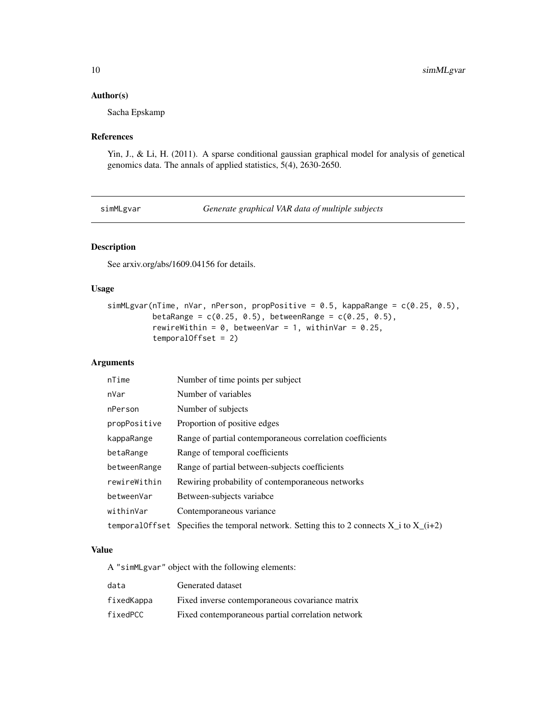#### <span id="page-9-0"></span>Author(s)

Sacha Epskamp

#### References

Yin, J., & Li, H. (2011). A sparse conditional gaussian graphical model for analysis of genetical genomics data. The annals of applied statistics, 5(4), 2630-2650.

simMLgvar *Generate graphical VAR data of multiple subjects*

#### Description

See arxiv.org/abs/1609.04156 for details.

#### Usage

```
simMLgvar(nTime, nVar, nPerson, propPositive = 0.5, kappaRange = c(0.25, 0.5),
         betaRange = c(0.25, 0.5), betweenRange = c(0.25, 0.5),
         rewireWithin = 0, betweenVar = 1, withinVar = 0.25,
          temporalOffset = 2)
```
#### Arguments

| nTime        | Number of time points per subject                                                              |
|--------------|------------------------------------------------------------------------------------------------|
| nVar         | Number of variables                                                                            |
| nPerson      | Number of subjects                                                                             |
| propPositive | Proportion of positive edges                                                                   |
| kappaRange   | Range of partial contemporaneous correlation coefficients                                      |
| betaRange    | Range of temporal coefficients                                                                 |
| betweenRange | Range of partial between-subjects coefficients                                                 |
| rewireWithin | Rewiring probability of contemporaneous networks                                               |
| betweenVar   | Between-subjects variabce                                                                      |
| withinVar    | Contemporaneous variance                                                                       |
|              | temporal Offset Specifies the temporal network. Setting this to 2 connects $X_i$ to $X_i(i+2)$ |

#### Value

A "simMLgvar" object with the following elements:

| data       | Generated dataset                                 |
|------------|---------------------------------------------------|
| fixedKappa | Fixed inverse contemporaneous covariance matrix   |
| fixedPCC   | Fixed contemporaneous partial correlation network |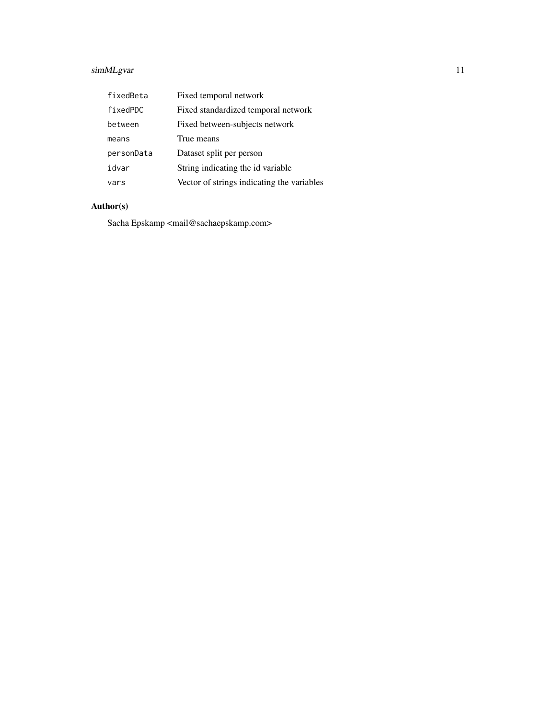## simMLgvar 11

| fixedBeta  | Fixed temporal network                     |
|------------|--------------------------------------------|
| fixedPDC   | Fixed standardized temporal network        |
| between    | Fixed between-subjects network             |
| means      | True means                                 |
| personData | Dataset split per person                   |
| idvar      | String indicating the id variable          |
| vars       | Vector of strings indicating the variables |

# Author(s)

Sacha Epskamp <mail@sachaepskamp.com>